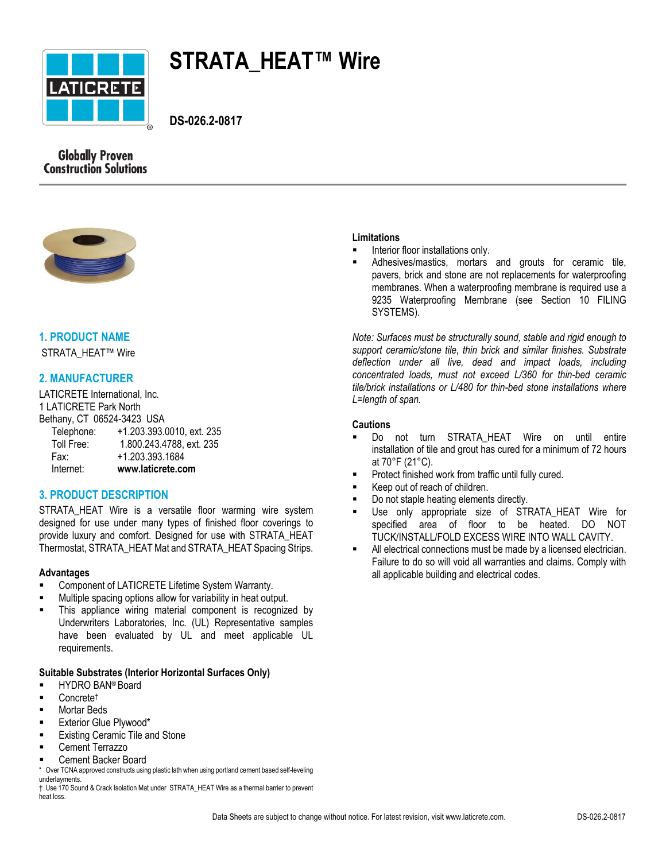

# **STRATA\_HEAT™ Wire**

 **DS-026.2-0817**





# **1. PRODUCT NAME**

STRATA\_HEAT™ Wire

# **2. MANUFACTURER**

LATICRETE International, Inc. 1 LATICRETE Park North Bethany, CT 06524-3423 USA Telephone: +1.203.393.0010, ext. 235<br>Toll Free: 1.800.243.4788. ext. 235 1.800.243.4788, ext. 235

Fax: +1.203.393.1684

## Internet: **www.laticrete.com**

## **3. PRODUCT DESCRIPTION**

STRATA HEAT Wire is a versatile floor warming wire system designed for use under many types of finished floor coverings to provide luxury and comfort. Designed for use with STRATA\_HEAT Thermostat, STRATA\_HEAT Mat and STRATA\_HEAT Spacing Strips.

## **Advantages**

- Component of LATICRETE Lifetime System Warranty.
- Multiple spacing options allow for variability in heat output.
- This appliance wiring material component is recognized by Underwriters Laboratories, Inc. (UL) Representative samples have been evaluated by UL and meet applicable UL requirements.

## **Suitable Substrates (Interior Horizontal Surfaces Only)**

- HYDRO BAN® Board
- Concrete†
- **Mortar Beds**
- Exterior Glue Plywood\*
- Existing Ceramic Tile and Stone
- Cement Terrazzo
- Cement Backer Board

\* Over TCNA approved constructs using plastic lath when using portland cement based self-leveling underlayments.

† Use 170 Sound & Crack Isolation Mat under STRATA\_HEAT Wire as a thermal barrier to prevent heat loss.

## **Limitations**

- Interior floor installations only.
- Adhesives/mastics, mortars and grouts for ceramic tile, pavers, brick and stone are not replacements for waterproofing membranes. When a waterproofing membrane is required use a 9235 Waterproofing Membrane (see Section 10 FILING SYSTEMS).

*Note: Surfaces must be structurally sound, stable and rigid enough to support ceramic/stone tile, thin brick and similar finishes. Substrate deflection under all live, dead and impact loads, including concentrated loads, must not exceed L/360 for thin-bed ceramic tile/brick installations or L/480 for thin-bed stone installations where L=length of span.*

## **Cautions**

- Do not turn STRATA\_HEAT Wire on until entire installation of tile and grout has cured for a minimum of 72 hours at 70°F (21°C).
- Protect finished work from traffic until fully cured.
- Keep out of reach of children.
- Do not staple heating elements directly.
- Use only appropriate size of STRATA\_HEAT Wire for specified area of floor to be heated. DO NOT TUCK/INSTALL/FOLD EXCESS WIRE INTO WALL CAVITY.
- All electrical connections must be made by a licensed electrician. Failure to do so will void all warranties and claims. Comply with all applicable building and electrical codes.